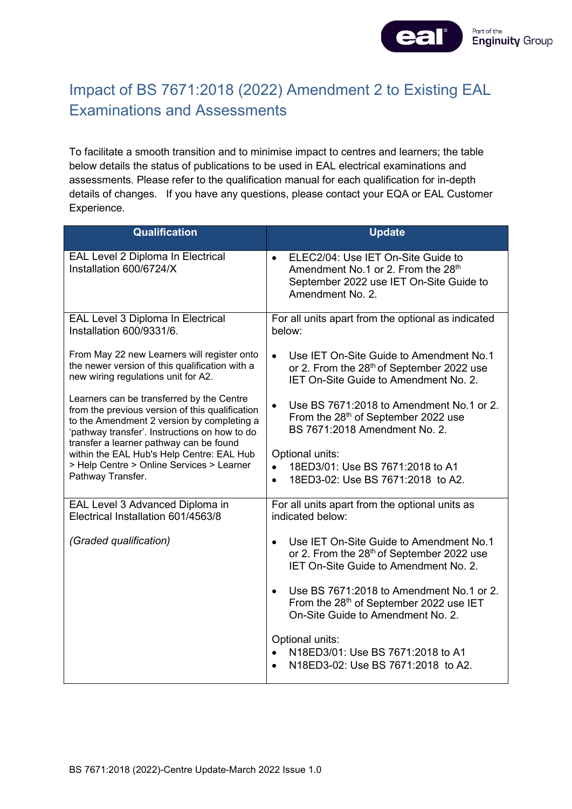

## Impact of BS 7671:2018 (2022) Amendment 2 to Existing EAL Examinations and Assessments

To facilitate a smooth transition and to minimise impact to centres and learners; the table below details the status of publications to be used in EAL electrical examinations and assessments. Please refer to the qualification manual for each qualification for in-depth details of changes.If you have any questions, please contact your EQA or EAL Customer Experience.

| <b>Qualification</b>                                                                                                                                                                                                                                                                                                                                  | <b>Update</b>                                                                                                                                                    |
|-------------------------------------------------------------------------------------------------------------------------------------------------------------------------------------------------------------------------------------------------------------------------------------------------------------------------------------------------------|------------------------------------------------------------------------------------------------------------------------------------------------------------------|
| EAL Level 2 Diploma In Electrical<br>Installation 600/6724/X                                                                                                                                                                                                                                                                                          | ELEC2/04: Use IET On-Site Guide to<br>$\bullet$<br>Amendment No.1 or 2. From the 28 <sup>th</sup><br>September 2022 use IET On-Site Guide to<br>Amendment No. 2. |
| EAL Level 3 Diploma In Electrical<br>Installation 600/9331/6.                                                                                                                                                                                                                                                                                         | For all units apart from the optional as indicated<br>below:                                                                                                     |
| From May 22 new Learners will register onto<br>the newer version of this qualification with a<br>new wiring regulations unit for A2.                                                                                                                                                                                                                  | Use IET On-Site Guide to Amendment No.1<br>$\bullet$<br>or 2. From the 28 <sup>th</sup> of September 2022 use<br>IET On-Site Guide to Amendment No. 2.           |
| Learners can be transferred by the Centre<br>from the previous version of this qualification<br>to the Amendment 2 version by completing a<br>'pathway transfer'. Instructions on how to do<br>transfer a learner pathway can be found<br>within the EAL Hub's Help Centre: EAL Hub<br>> Help Centre > Online Services > Learner<br>Pathway Transfer. | Use BS 7671:2018 to Amendment No.1 or 2.<br>$\bullet$<br>From the 28 <sup>th</sup> of September 2022 use<br>BS 7671:2018 Amendment No. 2.                        |
|                                                                                                                                                                                                                                                                                                                                                       | Optional units:<br>18ED3/01: Use BS 7671:2018 to A1<br>$\bullet$<br>18ED3-02: Use BS 7671:2018 to A2.<br>$\bullet$                                               |
| EAL Level 3 Advanced Diploma in<br>Electrical Installation 601/4563/8                                                                                                                                                                                                                                                                                 | For all units apart from the optional units as<br>indicated below:                                                                                               |
| (Graded qualification)                                                                                                                                                                                                                                                                                                                                | Use IET On-Site Guide to Amendment No.1<br>$\bullet$<br>or 2. From the 28 <sup>th</sup> of September 2022 use<br><b>IET On-Site Guide to Amendment No. 2.</b>    |
|                                                                                                                                                                                                                                                                                                                                                       | Use BS 7671:2018 to Amendment No.1 or 2.<br>From the 28 <sup>th</sup> of September 2022 use IET<br>On-Site Guide to Amendment No. 2.                             |
|                                                                                                                                                                                                                                                                                                                                                       | Optional units:<br>N18ED3/01: Use BS 7671:2018 to A1<br>N18ED3-02: Use BS 7671:2018 to A2.                                                                       |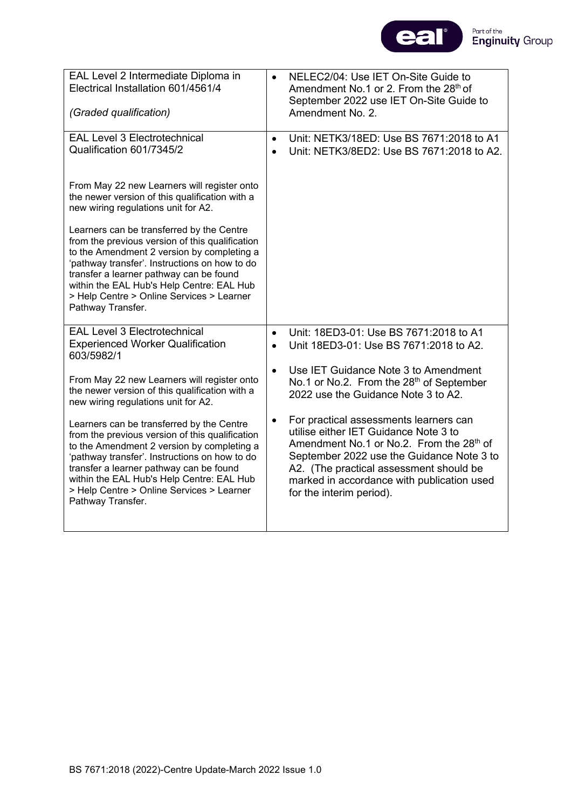

| EAL Level 2 Intermediate Diploma in<br>Electrical Installation 601/4561/4<br>(Graded qualification)                                                                                                                                                                                                                                                   |                        | NELEC2/04: Use IET On-Site Guide to<br>Amendment No.1 or 2. From the 28 <sup>th</sup> of<br>September 2022 use IET On-Site Guide to<br>Amendment No. 2.                                                                                                                                                   |
|-------------------------------------------------------------------------------------------------------------------------------------------------------------------------------------------------------------------------------------------------------------------------------------------------------------------------------------------------------|------------------------|-----------------------------------------------------------------------------------------------------------------------------------------------------------------------------------------------------------------------------------------------------------------------------------------------------------|
| <b>EAL Level 3 Electrotechnical</b><br>Qualification 601/7345/2                                                                                                                                                                                                                                                                                       | $\bullet$              | Unit: NETK3/18ED: Use BS 7671:2018 to A1<br>Unit: NETK3/8ED2: Use BS 7671:2018 to A2.                                                                                                                                                                                                                     |
| From May 22 new Learners will register onto<br>the newer version of this qualification with a<br>new wiring regulations unit for A2.                                                                                                                                                                                                                  |                        |                                                                                                                                                                                                                                                                                                           |
| Learners can be transferred by the Centre<br>from the previous version of this qualification<br>to the Amendment 2 version by completing a<br>'pathway transfer'. Instructions on how to do<br>transfer a learner pathway can be found<br>within the EAL Hub's Help Centre: EAL Hub<br>> Help Centre > Online Services > Learner<br>Pathway Transfer. |                        |                                                                                                                                                                                                                                                                                                           |
| <b>EAL Level 3 Electrotechnical</b><br><b>Experienced Worker Qualification</b><br>603/5982/1                                                                                                                                                                                                                                                          | $\bullet$<br>$\bullet$ | Unit: 18ED3-01: Use BS 7671:2018 to A1<br>Unit 18ED3-01: Use BS 7671:2018 to A2.                                                                                                                                                                                                                          |
| From May 22 new Learners will register onto<br>the newer version of this qualification with a<br>new wiring regulations unit for A2.                                                                                                                                                                                                                  | $\bullet$              | Use IET Guidance Note 3 to Amendment<br>No.1 or No.2. From the 28 <sup>th</sup> of September<br>2022 use the Guidance Note 3 to A2.                                                                                                                                                                       |
| Learners can be transferred by the Centre<br>from the previous version of this qualification<br>to the Amendment 2 version by completing a<br>'pathway transfer'. Instructions on how to do<br>transfer a learner pathway can be found<br>within the EAL Hub's Help Centre: EAL Hub<br>> Help Centre > Online Services > Learner<br>Pathway Transfer. | $\bullet$              | For practical assessments learners can<br>utilise either IET Guidance Note 3 to<br>Amendment No.1 or No.2. From the 28 <sup>th</sup> of<br>September 2022 use the Guidance Note 3 to<br>A2. (The practical assessment should be<br>marked in accordance with publication used<br>for the interim period). |